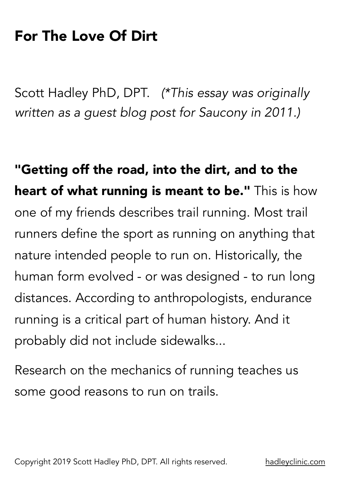## For The Love Of Dirt

Scott Hadley PhD, DPT. *(\*This essay was originally written as a guest blog post for Saucony in 2011.)*

"Getting off the road, into the dirt, and to the **heart of what running is meant to be."** This is how one of my friends describes trail running. Most trail runners define the sport as running on anything that nature intended people to run on. Historically, the human form evolved - or was designed - to run long distances. According to anthropologists, endurance running is a critical part of human history. And it probably did not include sidewalks...

Research on the mechanics of running teaches us some good reasons to run on trails.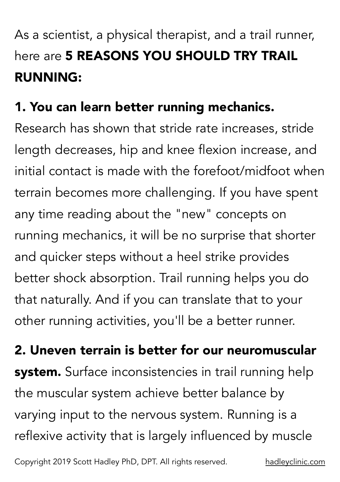## As a scientist, a physical therapist, and a trail runner, here are 5 **REASONS YOU SHOULD TRY TRAIL** RUNNING:

## 1. You can learn better running mechanics.

Research has shown that stride rate increases, stride length decreases, hip and knee flexion increase, and initial contact is made with the forefoot/midfoot when terrain becomes more challenging. If you have spent any time reading about the "new" concepts on running mechanics, it will be no surprise that shorter and quicker steps without a heel strike provides better shock absorption. Trail running helps you do that naturally. And if you can translate that to your other running activities, you'll be a better runner.

2. Uneven terrain is better for our neuromuscular **system.** Surface inconsistencies in trail running help the muscular system achieve better balance by varying input to the nervous system. Running is a reflexive activity that is largely influenced by muscle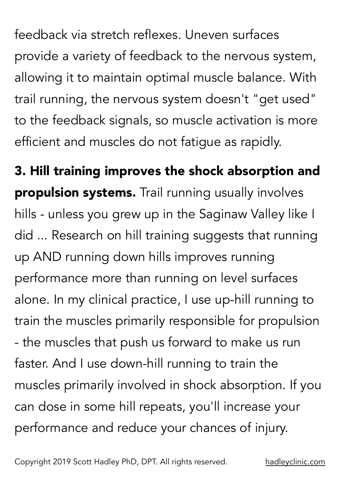feedback via stretch reflexes. Uneven surfaces provide a variety of feedback to the nervous system, allowing it to maintain optimal muscle balance. With trail running, the nervous system doesn't "get used" to the feedback signals, so muscle activation is more efficient and muscles do not fatigue as rapidly.

3. Hill training improves the shock absorption and **propulsion systems.** Trail running usually involves hills - unless you grew up in the Saginaw Valley like I did ... Research on hill training suggests that running up AND running down hills improves running performance more than running on level surfaces alone. In my clinical practice, I use up-hill running to train the muscles primarily responsible for propulsion - the muscles that push us forward to make us run faster. And I use down-hill running to train the muscles primarily involved in shock absorption. If you can dose in some hill repeats, you'll increase your performance and reduce your chances of injury.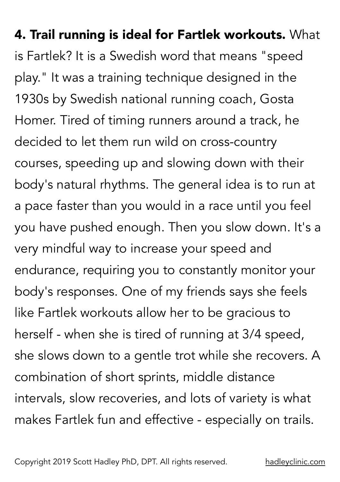## 4. Trail running is ideal for Fartlek workouts. What is Fartlek? It is a Swedish word that means "speed play." It was a training technique designed in the 1930s by Swedish national running coach, Gosta Homer. Tired of timing runners around a track, he decided to let them run wild on cross-country courses, speeding up and slowing down with their body's natural rhythms. The general idea is to run at a pace faster than you would in a race until you feel you have pushed enough. Then you slow down. It's a very mindful way to increase your speed and endurance, requiring you to constantly monitor your body's responses. One of my friends says she feels like Fartlek workouts allow her to be gracious to herself - when she is tired of running at 3/4 speed, she slows down to a gentle trot while she recovers. A combination of short sprints, middle distance intervals, slow recoveries, and lots of variety is what makes Fartlek fun and effective - especially on trails.